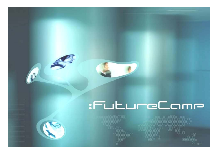# :FutureCom



R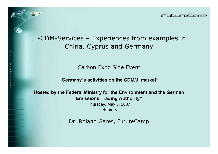

## JI-CDM-Services – Experiences from examples in China, Cyprus and Germany

Carbon Expo Side Event

**"Germany´s activities on the CDM/JI market"**

**Hosted by the Federal Ministry for the Environment and the German Emissions Trading Authority"**

> Thursday, May 3, 2007 Room 3

Dr. Roland Geres, FutureCamp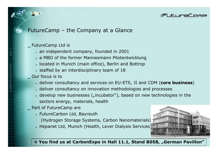#### :FutureCo

## FutureCamp – the Company at a Glance

‗ FutureCamp Ltd is

- $\bullet$  an independent company, founded in 2001
- a MBO of the former Mannesmann Pilotentwicklung
- located in Munich (main office), Berlin and Bottrop
- $\,$  staffed by an interdisciplinary team of 18
- $\_$  Our focus is to
	- deliver consultancy and services on EU-ETS, JI and CDM (**core business**)
	- deliver consultancy on innovation methodologies and processes
	- develop new businesses ("incubator"), based on new technologies in the sectors energy, materials, health
- Part of FutureCamp are
	- FutureCarbon Ltd, Bayreuth

(Hydrogen Storage Systems, Carbon Nanomaterials)

• Hepanet Ltd, Munich (Health, Lever Dialysis Services)



#### → You find us at CarbonExpo in Hall 11.1, Stand B058, "German Pavillon">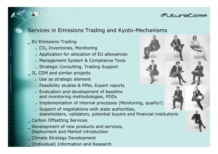#### :FutureCo

## Services in Emissions Trading and Kyoto-Mechanisms

#### ‗ EU Emissions Trading

- $\centerdot$  CO $_2$  Inventories, Monitoring
- Application for allocation of EU allowances
- Management System & Compliance Tools
- Strategic Consulting, Trading Support
- $\_$  JI, CDM and similar projects
	- Use as strategic element
	- Feasibility studies & PINs, Expert reports
	- Evaluation and development of baseline and monitoring methodologies, PDDs
	- Implementation of internal processes (Monitoring, quality!)
	- Support of negotiations with state authorities, stakeholders, validators, potential buyers and financial institutions
	- ‗ Carbon Offsetting Services
	- Development of new products and services,
	- Deployment and Market introduction
	- Climate Strategy Development
- $\mathcal{I}$  Individual) Information and Research and Reserve and Reserve and Reserve and Reserve and Reserve and Reserve and Reserve and Reserve and Reserve and Reserve and Reserve and Reserve and Reserve and Reserve and Res

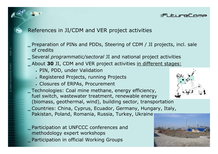#### :FutureCc

## References in JI/CDM and VER project activities

- $\_$  Preparation of PINs and PDDs, Steering of CDM / JI projects, incl. sale of credits
- ‗ Several *programmatic/sectoral* JI and national project activities
- ‗ About **30** JI, CDM and VER project activities in different stages:
	- PIN, PDD, under Validation
	- Registered Projects, running Projects
	- Closures of ERPAs, Procurement

Technologies: Coal mine methane, energy efficiency, fuel switch, wastewater treatment, renewable energy (biomass, geothermal, wind), building sector, transportation ‗ Countries: China, Cyprus, Ecuador, Germany, Hungary, Italy, Pakistan, Poland, Romania, Russia, Turkey, Ukraine

‗ Participation at UNFCCC conferences and methodology expert workshops Participation in official Working Groups

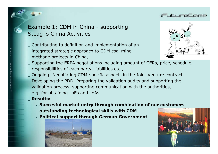## Example 1: CDM in China - supporting Steag`s China Activities

- ‗ Contributing to definition and implementation of an integrated strategic approach to CDM coal mine methane projects in China,
- $\equiv$  Supporting the ERPA negotiations including amount of CERs, price, schedule, responsibilities of each party, liabilities etc.,
- ‗ Ongoing: Negotiating CDM-specific aspects in the Joint Venture contract, Developing the PDD, Preparing the validation audits and supporting the validation process, supporting communication with the authorities, e.g. for obtaining LoEs and LoAs **Results:** 
	- **Succesful market entry through combination of our customers outstanding technological skills with CDM**
	- **Political support through German Government**







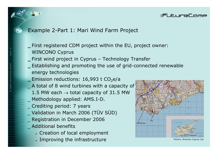#### :FutureCo

## Example 2-Part 1: Mari Wind Farm Project

 $\_$  First registered CDM project within the EU, project owner: WINCONO Cyprus

- $\_$  First wind project in Cyprus Technology Transfer
- $\_$  Establishing and promoting the use of grid-connected renewable energy technologies
- $\_$  Emission reductions: 16,993 t CO<sub>2</sub>e/a
- $-$  A total of 8 wind turbines with a capacity of
	- 1.5 MW each  $\rightarrow$  total capacity of 31.5 MW
- ‗ Methodology applied: AMS.I-D.
- ‗ Crediting period: 7 years
- ‗ Validation in March 2006 (TÜV SÜD) ‗ Registration in December 2006
- ‗ Additional benefits
	- Creation of local employment
	- Improving the infrastructure  $\blacksquare$

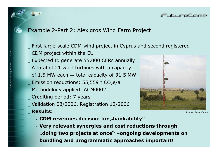## Example 2-Part 2: Alexigros Wind Farm Project

First large-scale CDM wind project in Cyprus and second registered CDM project within the EU

- ‗ Expected to generate 55,000 CERs annually
- ‗ A total of 21 wind turbines with a capacity of 1.5 MW each  $\rightarrow$  total capacity of 31.5 MW
- $\_$  Emission reductions: 55,559 t CO<sub>2</sub>e/a
- Methodology applied: ACM0002
- ‗ Crediting period: 7 years
- ‗ Validation 03/2006, Registration 12/2006
- ‗ **Results:**



:FutureCo

Picture: Fu

- **CDM revenues decisive for "bankability"**
- **Very relevant synergies and cost reductions through "doing two projects at once" –ongoing developments on bundling and programmatic approaches important!**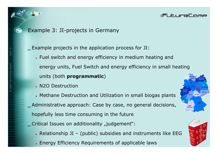

 $\equiv$  Example projects in the application process for JI:

• Fuel switch and energy efficiency in medium heating and energy units, Fuel Switch and energy efficiency in small heating units (both **programmatic**)

:FutureCo

- N2O Destruction
- Methane Destruction and Utilization in small biogas plants ‗ Administrative approach: Case by case, no general decisions, hopefully less time consuming in the future  $\overline{\phantom{a}}$  Critical Issues on additionality "judgement":
	- Relationship JI (public) subsidies and instruments like EEG Energy Efficiency Requirements of applicable laws